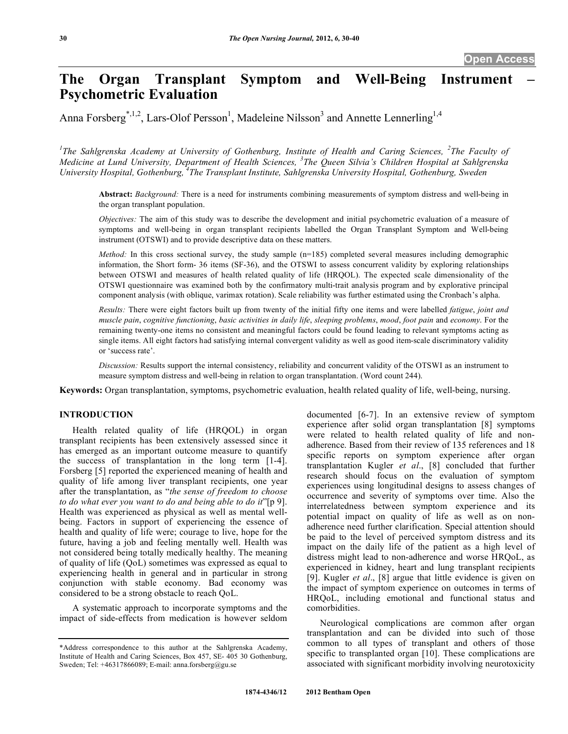# The Organ Transplant Symptom and Well-Being Instrument **Psychometric Evaluation**

Anna Forsberg<sup>\*,1,2</sup>, Lars-Olof Persson<sup>1</sup>, Madeleine Nilsson<sup>3</sup> and Annette Lennerling<sup>1,4</sup>

<sup>1</sup>The Sahlgrenska Academy at University of Gothenburg, Institute of Health and Caring Sciences, <sup>2</sup>The Faculty of *Medicine at Lund University, Department of Health Sciences, <sup>3</sup> The Queen Silvia's Children Hospital at Sahlgrenska University Hospital, Gothenburg, 4 The Transplant Institute, Sahlgrenska University Hospital, Gothenburg, Sweden* 

**Abstract:** *Background:* There is a need for instruments combining measurements of symptom distress and well-being in the organ transplant population.

*Objectives:* The aim of this study was to describe the development and initial psychometric evaluation of a measure of symptoms and well-being in organ transplant recipients labelled the Organ Transplant Symptom and Well-being instrument (OTSWI) and to provide descriptive data on these matters.

*Method:* In this cross sectional survey, the study sample (n=185) completed several measures including demographic information, the Short form- 36 items (SF-36), and the OTSWI to assess concurrent validity by exploring relationships between OTSWI and measures of health related quality of life (HRQOL). The expected scale dimensionality of the OTSWI questionnaire was examined both by the confirmatory multi-trait analysis program and by explorative principal component analysis (with oblique, varimax rotation). Scale reliability was further estimated using the Cronbach's alpha.

*Results:* There were eight factors built up from twenty of the initial fifty one items and were labelled *fatigue*, *joint and muscle pain*, *cognitive functioning*, *basic activities in daily life*, *sleeping problems*, *mood*, *foot pain* and *economy*. For the remaining twenty-one items no consistent and meaningful factors could be found leading to relevant symptoms acting as single items. All eight factors had satisfying internal convergent validity as well as good item-scale discriminatory validity or 'success rate'.

*Discussion:* Results support the internal consistency, reliability and concurrent validity of the OTSWI as an instrument to measure symptom distress and well-being in relation to organ transplantation. (Word count 244).

**Keywords:** Organ transplantation, symptoms, psychometric evaluation, health related quality of life, well-being, nursing.

# **INTRODUCTION**

 Health related quality of life (HRQOL) in organ transplant recipients has been extensively assessed since it has emerged as an important outcome measure to quantify the success of transplantation in the long term [1-4]. Forsberg [5] reported the experienced meaning of health and quality of life among liver transplant recipients, one year after the transplantation, as "*the sense of freedom to choose to do what ever you want to do and being able to do it*"[p 9]. Health was experienced as physical as well as mental wellbeing. Factors in support of experiencing the essence of health and quality of life were; courage to live, hope for the future, having a job and feeling mentally well. Health was not considered being totally medically healthy. The meaning of quality of life (QoL) sometimes was expressed as equal to experiencing health in general and in particular in strong conjunction with stable economy. Bad economy was considered to be a strong obstacle to reach QoL.

 A systematic approach to incorporate symptoms and the impact of side-effects from medication is however seldom documented [6-7]. In an extensive review of symptom experience after solid organ transplantation [8] symptoms were related to health related quality of life and nonadherence. Based from their review of 135 references and 18 specific reports on symptom experience after organ transplantation Kugler *et al*., [8] concluded that further research should focus on the evaluation of symptom experiences using longitudinal designs to assess changes of occurrence and severity of symptoms over time. Also the interrelatedness between symptom experience and its potential impact on quality of life as well as on nonadherence need further clarification. Special attention should be paid to the level of perceived symptom distress and its impact on the daily life of the patient as a high level of distress might lead to non-adherence and worse HRQoL, as experienced in kidney, heart and lung transplant recipients [9]. Kugler *et al*., [8] argue that little evidence is given on the impact of symptom experience on outcomes in terms of HRQoL, including emotional and functional status and comorbidities.

 Neurological complications are common after organ transplantation and can be divided into such of those common to all types of transplant and others of those specific to transplanted organ [10]. These complications are associated with significant morbidity involving neurotoxicity

<sup>\*</sup>Address correspondence to this author at the Sahlgrenska Academy, Institute of Health and Caring Sciences, Box 457, SE- 405 30 Gothenburg, Sweden; Tel:  $+46317866089$ ; E-mail: anna.forsberg@gu.se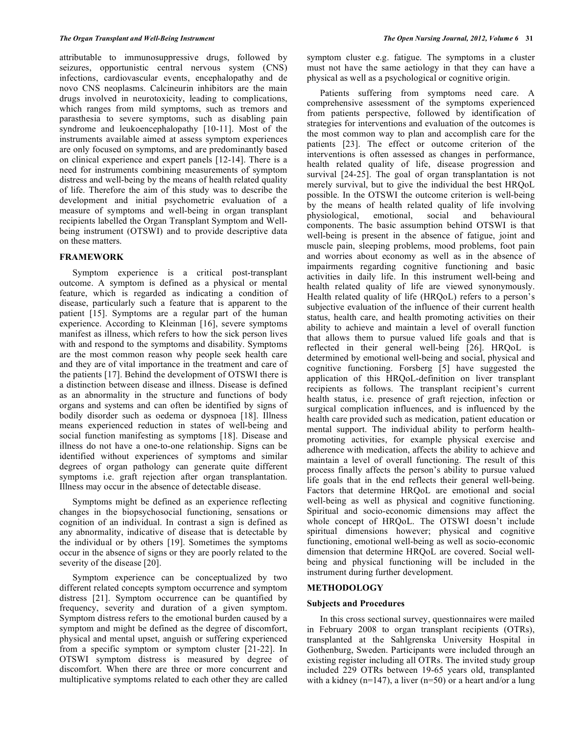attributable to immunosuppressive drugs, followed by seizures, opportunistic central nervous system (CNS) infections, cardiovascular events, encephalopathy and de novo CNS neoplasms. Calcineurin inhibitors are the main drugs involved in neurotoxicity, leading to complications, which ranges from mild symptoms, such as tremors and parasthesia to severe symptoms, such as disabling pain syndrome and leukoencephalopathy [10-11]. Most of the instruments available aimed at assess symptom experiences are only focused on symptoms, and are predominantly based on clinical experience and expert panels [12-14]. There is a need for instruments combining measurements of symptom distress and well-being by the means of health related quality of life. Therefore the aim of this study was to describe the development and initial psychometric evaluation of a measure of symptoms and well-being in organ transplant recipients labelled the Organ Transplant Symptom and Wellbeing instrument (OTSWI) and to provide descriptive data on these matters.

#### **FRAMEWORK**

 Symptom experience is a critical post-transplant outcome. A symptom is defined as a physical or mental feature, which is regarded as indicating a condition of disease, particularly such a feature that is apparent to the patient [15]. Symptoms are a regular part of the human experience. According to Kleinman [16], severe symptoms manifest as illness, which refers to how the sick person lives with and respond to the symptoms and disability. Symptoms are the most common reason why people seek health care and they are of vital importance in the treatment and care of the patients [17]. Behind the development of OTSWI there is a distinction between disease and illness. Disease is defined as an abnormality in the structure and functions of body organs and systems and can often be identified by signs of bodily disorder such as oedema or dyspnoea [18]. Illness means experienced reduction in states of well-being and social function manifesting as symptoms [18]. Disease and illness do not have a one-to-one relationship. Signs can be identified without experiences of symptoms and similar degrees of organ pathology can generate quite different symptoms i.e. graft rejection after organ transplantation. Illness may occur in the absence of detectable disease.

 Symptoms might be defined as an experience reflecting changes in the biopsychosocial functioning, sensations or cognition of an individual. In contrast a sign is defined as any abnormality, indicative of disease that is detectable by the individual or by others [19]. Sometimes the symptoms occur in the absence of signs or they are poorly related to the severity of the disease [20].

 Symptom experience can be conceptualized by two different related concepts symptom occurrence and symptom distress [21]. Symptom occurrence can be quantified by frequency, severity and duration of a given symptom. Symptom distress refers to the emotional burden caused by a symptom and might be defined as the degree of discomfort, physical and mental upset, anguish or suffering experienced from a specific symptom or symptom cluster [21-22]. In OTSWI symptom distress is measured by degree of discomfort. When there are three or more concurrent and multiplicative symptoms related to each other they are called

symptom cluster e.g. fatigue. The symptoms in a cluster must not have the same aetiology in that they can have a physical as well as a psychological or cognitive origin.

 Patients suffering from symptoms need care. A comprehensive assessment of the symptoms experienced from patients perspective, followed by identification of strategies for interventions and evaluation of the outcomes is the most common way to plan and accomplish care for the patients [23]. The effect or outcome criterion of the interventions is often assessed as changes in performance, health related quality of life, disease progression and survival [24-25]. The goal of organ transplantation is not merely survival, but to give the individual the best HRQoL possible. In the OTSWI the outcome criterion is well-being by the means of health related quality of life involving physiological, emotional, social and behavioural components. The basic assumption behind OTSWI is that well-being is present in the absence of fatigue, joint and muscle pain, sleeping problems, mood problems, foot pain and worries about economy as well as in the absence of impairments regarding cognitive functioning and basic activities in daily life. In this instrument well-being and health related quality of life are viewed synonymously. Health related quality of life (HRQoL) refers to a person's subjective evaluation of the influence of their current health status, health care, and health promoting activities on their ability to achieve and maintain a level of overall function that allows them to pursue valued life goals and that is reflected in their general well-being [26]. HRQoL is determined by emotional well-being and social, physical and cognitive functioning. Forsberg [5] have suggested the application of this HRQoL-definition on liver transplant recipients as follows. The transplant recipient's current health status, i.e. presence of graft rejection, infection or surgical complication influences, and is influenced by the health care provided such as medication, patient education or mental support. The individual ability to perform healthpromoting activities, for example physical exercise and adherence with medication, affects the ability to achieve and maintain a level of overall functioning. The result of this process finally affects the person's ability to pursue valued life goals that in the end reflects their general well-being. Factors that determine HRQoL are emotional and social well-being as well as physical and cognitive functioning. Spiritual and socio-economic dimensions may affect the whole concept of HRQoL. The OTSWI doesn't include spiritual dimensions however; physical and cognitive functioning, emotional well-being as well as socio-economic dimension that determine HRQoL are covered. Social wellbeing and physical functioning will be included in the instrument during further development.

#### **METHODOLOGY**

#### **Subjects and Procedures**

 In this cross sectional survey, questionnaires were mailed in February 2008 to organ transplant recipients (OTRs), transplanted at the Sahlgrenska University Hospital in Gothenburg, Sweden. Participants were included through an existing register including all OTRs. The invited study group included 229 OTRs between 19-65 years old, transplanted with a kidney ( $n=147$ ), a liver ( $n=50$ ) or a heart and/or a lung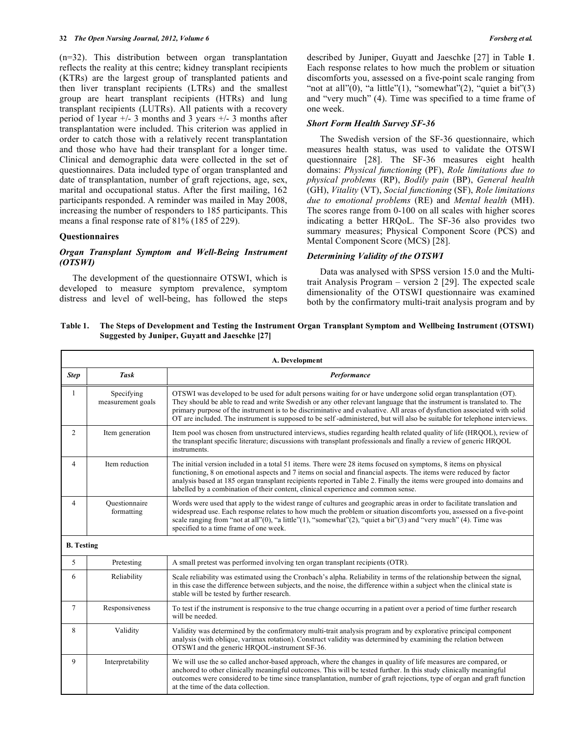#### **32** *The Open Nursing Journal, 2012, Volume 6 Forsberg et al.*

(n=32). This distribution between organ transplantation reflects the reality at this centre; kidney transplant recipients (KTRs) are the largest group of transplanted patients and then liver transplant recipients (LTRs) and the smallest group are heart transplant recipients (HTRs) and lung transplant recipients (LUTRs). All patients with a recovery period of 1year  $+/- 3$  months and 3 years  $+/- 3$  months after transplantation were included. This criterion was applied in order to catch those with a relatively recent transplantation and those who have had their transplant for a longer time. Clinical and demographic data were collected in the set of questionnaires. Data included type of organ transplanted and date of transplantation, number of graft rejections, age, sex, marital and occupational status. After the first mailing, 162 participants responded. A reminder was mailed in May 2008, increasing the number of responders to 185 participants. This means a final response rate of 81% (185 of 229).

#### **Questionnaires**

# *Organ Transplant Symptom and Well-Being Instrument (OTSWI)*

 The development of the questionnaire OTSWI, which is developed to measure symptom prevalence, symptom distress and level of well-being, has followed the steps described by Juniper, Guyatt and Jaeschke [27] in Table **1**. Each response relates to how much the problem or situation discomforts you, assessed on a five-point scale ranging from "not at all" $(0)$ , "a little" $(1)$ , "somewhat" $(2)$ , "quiet a bit" $(3)$ and "very much" (4). Time was specified to a time frame of one week.

#### *Short Form Health Survey SF-36*

 The Swedish version of the SF-36 questionnaire, which measures health status, was used to validate the OTSWI questionnaire [28]. The SF-36 measures eight health domains: *Physical functioning* (PF), *Role limitations due to physical problems* (RP), *Bodily pain* (BP), *General health*  (GH), *Vitality* (VT), *Social functioning* (SF), *Role limitations due to emotional problems* (RE) and *Mental health* (MH). The scores range from 0-100 on all scales with higher scores indicating a better HRQoL. The SF-36 also provides two summary measures; Physical Component Score (PCS) and Mental Component Score (MCS) [28].

## *Determining Validity of the OTSWI*

 Data was analysed with SPSS version 15.0 and the Multitrait Analysis Program – version 2 [29]. The expected scale dimensionality of the OTSWI questionnaire was examined both by the confirmatory multi-trait analysis program and by

## **Table 1. The Steps of Development and Testing the Instrument Organ Transplant Symptom and Wellbeing Instrument (OTSWI) Suggested by Juniper, Guyatt and Jaeschke [27]**

|                   | A. Development                  |                                                                                                                                                                                                                                                                                                                                                                                                                                                                                                    |  |  |  |  |  |
|-------------------|---------------------------------|----------------------------------------------------------------------------------------------------------------------------------------------------------------------------------------------------------------------------------------------------------------------------------------------------------------------------------------------------------------------------------------------------------------------------------------------------------------------------------------------------|--|--|--|--|--|
| <b>Step</b>       | <b>Task</b>                     | Performance                                                                                                                                                                                                                                                                                                                                                                                                                                                                                        |  |  |  |  |  |
| 1                 | Specifying<br>measurement goals | OTSWI was developed to be used for adult persons waiting for or have undergone solid organ transplantation (OT).<br>They should be able to read and write Swedish or any other relevant language that the instrument is translated to. The<br>primary purpose of the instrument is to be discriminative and evaluative. All areas of dysfunction associated with solid<br>OT are included. The instrument is supposed to be self-administered, but will also be suitable for telephone interviews. |  |  |  |  |  |
| $\overline{2}$    | Item generation                 | Item pool was chosen from unstructured interviews, studies regarding health related quality of life (HRQOL), review of<br>the transplant specific literature; discussions with transplant professionals and finally a review of generic HRQOL<br>instruments.                                                                                                                                                                                                                                      |  |  |  |  |  |
| 4                 | Item reduction                  | The initial version included in a total 51 items. There were 28 items focused on symptoms, 8 items on physical<br>functioning, 8 on emotional aspects and 7 items on social and financial aspects. The items were reduced by factor<br>analysis based at 185 organ transplant recipients reported in Table 2. Finally the items were grouped into domains and<br>labelled by a combination of their content, clinical experience and common sense.                                                 |  |  |  |  |  |
| $\overline{4}$    | Questionnaire<br>formatting     | Words were used that apply to the widest range of cultures and geographic areas in order to facilitate translation and<br>widespread use. Each response relates to how much the problem or situation discomforts you, assessed on a five-point<br>scale ranging from "not at all"(0), "a little"(1), "somewhat"(2), "quiet a bit"(3) and "very much" (4). Time was<br>specified to a time frame of one week.                                                                                       |  |  |  |  |  |
| <b>B.</b> Testing |                                 |                                                                                                                                                                                                                                                                                                                                                                                                                                                                                                    |  |  |  |  |  |
| 5                 | Pretesting                      | A small pretest was performed involving ten organ transplant recipients (OTR).                                                                                                                                                                                                                                                                                                                                                                                                                     |  |  |  |  |  |
| 6                 | Reliability                     | Scale reliability was estimated using the Cronbach's alpha. Reliability in terms of the relationship between the signal,<br>in this case the difference between subjects, and the noise, the difference within a subject when the clinical state is<br>stable will be tested by further research.                                                                                                                                                                                                  |  |  |  |  |  |
| 7                 | Responsiveness                  | To test if the instrument is responsive to the true change occurring in a patient over a period of time further research<br>will be needed.                                                                                                                                                                                                                                                                                                                                                        |  |  |  |  |  |
| 8                 | Validity                        | Validity was determined by the confirmatory multi-trait analysis program and by explorative principal component<br>analysis (with oblique, varimax rotation). Construct validity was determined by examining the relation between<br>OTSWI and the generic HRQOL-instrument SF-36.                                                                                                                                                                                                                 |  |  |  |  |  |
| 9                 | Interpretability                | We will use the so called anchor-based approach, where the changes in quality of life measures are compared, or<br>anchored to other clinically meaningful outcomes. This will be tested further. In this study clinically meaningful<br>outcomes were considered to be time since transplantation, number of graft rejections, type of organ and graft function<br>at the time of the data collection.                                                                                            |  |  |  |  |  |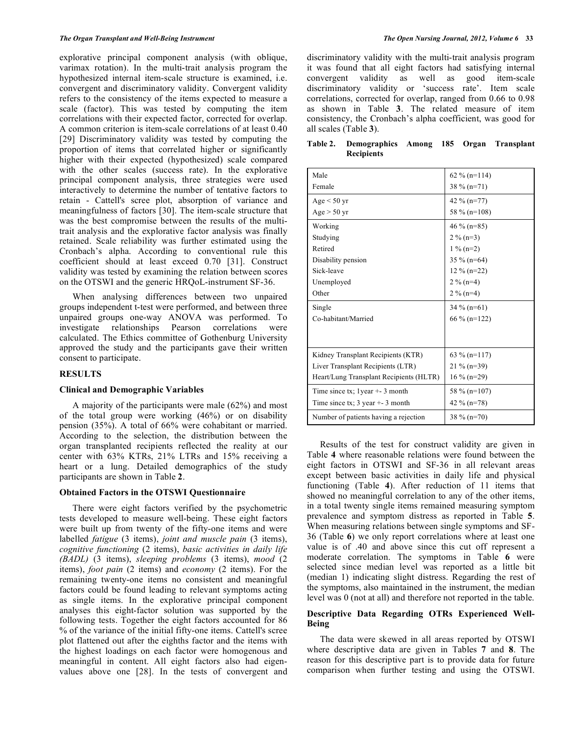explorative principal component analysis (with oblique, varimax rotation). In the multi-trait analysis program the hypothesized internal item-scale structure is examined, i.e. convergent and discriminatory validity. Convergent validity refers to the consistency of the items expected to measure a scale (factor). This was tested by computing the item correlations with their expected factor, corrected for overlap. A common criterion is item-scale correlations of at least 0.40 [29] Discriminatory validity was tested by computing the proportion of items that correlated higher or significantly higher with their expected (hypothesized) scale compared with the other scales (success rate). In the explorative principal component analysis, three strategies were used interactively to determine the number of tentative factors to retain - Cattell's scree plot, absorption of variance and meaningfulness of factors [30]. The item-scale structure that was the best compromise between the results of the multitrait analysis and the explorative factor analysis was finally retained. Scale reliability was further estimated using the Cronbach's alpha. According to conventional rule this coefficient should at least exceed 0.70 [31]. Construct validity was tested by examining the relation between scores on the OTSWI and the generic HRQoL-instrument SF-36.

 When analysing differences between two unpaired groups independent t-test were performed, and between three unpaired groups one-way ANOVA was performed. To investigate relationships Pearson correlations were calculated. The Ethics committee of Gothenburg University approved the study and the participants gave their written consent to participate.

## **RESULTS**

#### **Clinical and Demographic Variables**

 A majority of the participants were male (62%) and most of the total group were working (46%) or on disability pension (35%). A total of 66% were cohabitant or married. According to the selection, the distribution between the organ transplanted recipients reflected the reality at our center with 63% KTRs, 21% LTRs and 15% receiving a heart or a lung. Detailed demographics of the study participants are shown in Table **2**.

#### **Obtained Factors in the OTSWI Questionnaire**

 There were eight factors verified by the psychometric tests developed to measure well-being. These eight factors were built up from twenty of the fifty-one items and were labelled *fatigue* (3 items), *joint and muscle pain* (3 items), *cognitive functioning* (2 items), *basic activities in daily life (BADL)* (3 items), *sleeping problems* (3 items), *mood* (2 items), *foot pain* (2 items) and *economy* (2 items). For the remaining twenty-one items no consistent and meaningful factors could be found leading to relevant symptoms acting as single items. In the explorative principal component analyses this eight-factor solution was supported by the following tests. Together the eight factors accounted for 86 % of the variance of the initial fifty-one items. Cattell's scree plot flattened out after the eighths factor and the items with the highest loadings on each factor were homogenous and meaningful in content. All eight factors also had eigenvalues above one [28]. In the tests of convergent and

discriminatory validity with the multi-trait analysis program it was found that all eight factors had satisfying internal convergent validity as well as good item-scale discriminatory validity or 'success rate'. Item scale correlations, corrected for overlap, ranged from 0.66 to 0.98 as shown in Table **3**. The related measure of item consistency, the Cronbach's alpha coefficient, was good for all scales (Table **3**).

| Male                                    | $62\%$ (n=114) |
|-----------------------------------------|----------------|
| Female                                  |                |
|                                         | $38\%$ (n=71)  |
| $Age < 50$ yr                           | 42 $\%$ (n=77) |
| $Age > 50$ yr                           | 58 % (n=108)   |
| Working                                 | $46\%$ (n=85)  |
| Studying                                | $2\%$ (n=3)    |
| Retired                                 | $1\%$ (n=2)    |
| Disability pension                      | $35\%$ (n=64)  |
| Sick-leave                              | $12\%$ (n=22)  |
| Unemployed                              | $2\%$ (n=4)    |
| Other                                   | $2\%$ (n=4)    |
| Single                                  | $34\%$ (n=61)  |
| Co-habitant/Married                     | $66\%$ (n=122) |
|                                         |                |
|                                         |                |
| Kidney Transplant Recipients (KTR)      | 63 % (n=117)   |
| Liver Transplant Recipients (LTR)       | $21\%$ (n=39)  |
| Heart/Lung Transplant Recipients (HLTR) | $16\%$ (n=29)  |
| Time since tx; $1$ year $+$ 3 month     | 58 % (n=107)   |
| Time since tx; $3$ year $+$ 3 month     | 42 $\%$ (n=78) |
| Number of patients having a rejection   | $38\%$ (n=70)  |

**Table 2. Demographics Among 185 Organ Transplant Recipients** 

 Results of the test for construct validity are given in Table **4** where reasonable relations were found between the eight factors in OTSWI and SF-36 in all relevant areas except between basic activities in daily life and physical functioning (Table **4**). After reduction of 11 items that showed no meaningful correlation to any of the other items, in a total twenty single items remained measuring symptom prevalence and symptom distress as reported in Table **5**. When measuring relations between single symptoms and SF-36 (Table **6**) we only report correlations where at least one value is of .40 and above since this cut off represent a moderate correlation. The symptoms in Table **6** were selected since median level was reported as a little bit (median 1) indicating slight distress. Regarding the rest of the symptoms, also maintained in the instrument, the median level was 0 (not at all) and therefore not reported in the table.

# **Descriptive Data Regarding OTRs Experienced Well-Being**

 The data were skewed in all areas reported by OTSWI where descriptive data are given in Tables **7** and **8**. The reason for this descriptive part is to provide data for future comparison when further testing and using the OTSWI.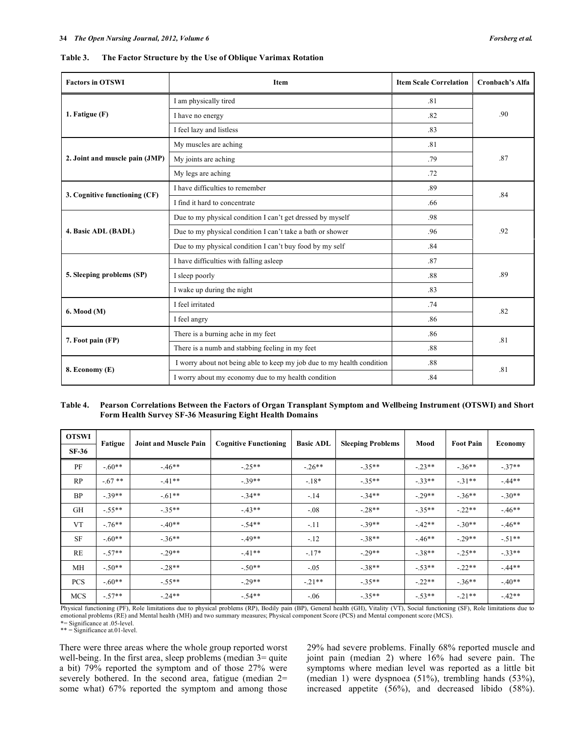| Table 3. | The Factor Structure by the Use of Oblique Varimax Rotation |  |
|----------|-------------------------------------------------------------|--|
|          |                                                             |  |

| <b>Factors in OTSWI</b>        | Item                                                                   | <b>Item Scale Correlation</b> | <b>Cronbach's Alfa</b> |
|--------------------------------|------------------------------------------------------------------------|-------------------------------|------------------------|
|                                | I am physically tired                                                  | .81                           |                        |
| 1. Fatigue (F)                 | I have no energy                                                       | .82                           | .90                    |
|                                | I feel lazy and listless                                               | .83                           |                        |
|                                | My muscles are aching                                                  | .81                           |                        |
| 2. Joint and muscle pain (JMP) | My joints are aching                                                   | .79                           | .87                    |
|                                | My legs are aching                                                     | .72                           |                        |
|                                | I have difficulties to remember                                        | .89                           | .84                    |
| 3. Cognitive functioning (CF)  | I find it hard to concentrate                                          | .66                           |                        |
|                                | Due to my physical condition I can't get dressed by myself             | .98                           |                        |
| 4. Basic ADL (BADL)            | Due to my physical condition I can't take a bath or shower             | .96                           | .92                    |
|                                | Due to my physical condition I can't buy food by my self               |                               |                        |
|                                | I have difficulties with falling asleep                                | .87                           | .89                    |
| 5. Sleeping problems (SP)      | I sleep poorly                                                         | .88                           |                        |
|                                | I wake up during the night                                             | .83                           |                        |
|                                | I feel irritated                                                       | .74                           | .82                    |
| 6. Mood (M)                    | I feel angry                                                           | .86                           |                        |
| 7. Foot pain (FP)              | There is a burning ache in my feet                                     | .86                           | .81                    |
|                                | There is a numb and stabbing feeling in my feet                        | .88                           |                        |
|                                | I worry about not being able to keep my job due to my health condition | .88                           | .81                    |
| 8. Economy (E)                 | I worry about my economy due to my health condition                    | .84                           |                        |

| Table 4. Pearson Correlations Between the Factors of Organ Transplant Symptom and Wellbeing Instrument (OTSWI) and Short |
|--------------------------------------------------------------------------------------------------------------------------|
| <b>Form Health Survey SF-36 Measuring Eight Health Domains</b>                                                           |

| <b>OTSWI</b> | Fatigue  | <b>Joint and Muscle Pain</b> | <b>Cognitive Functioning</b> | <b>Basic ADL</b> | <b>Sleeping Problems</b> | Mood    | <b>Foot Pain</b> | Economy  |
|--------------|----------|------------------------------|------------------------------|------------------|--------------------------|---------|------------------|----------|
| $SF-36$      |          |                              |                              |                  |                          |         |                  |          |
| PF           | $-60**$  | $-46**$                      | $-25**$                      | $-26**$          | $-35**$                  | $-23**$ | $-36**$          | $-37**$  |
| RP           | $-.67**$ | $-41**$                      | $-39**$                      | $-18*$           | $-35**$                  | $-33**$ | $-31**$          | $-44**$  |
| <b>BP</b>    | $-39**$  | $-61**$                      | $-34**$                      | $-.14$           | $-34**$                  | $-29**$ | $-36**$          | $-.30**$ |
| <b>GH</b>    | $-55**$  | $-35**$                      | $-43**$                      | $-0.08$          | $-28**$                  | $-35**$ | $-.22**$         | $-46**$  |
| <b>VT</b>    | $-76***$ | $-40**$                      | $-54**$                      | $-.11$           | $-39**$                  | $-42**$ | $-.30**$         | $-46**$  |
| <b>SF</b>    | $-60**$  | $-36**$                      | $-49**$                      | $-.12$           | $-38**$                  | $-46**$ | $-29**$          | $-.51**$ |
| RE           | $-.57**$ | $-29**$                      | $-41**$                      | $-17*$           | $-29**$                  | $-38**$ | $-25**$          | $-33**$  |
| MH           | $-50**$  | $-28**$                      | $-.50**$                     | $-.05$           | $-38**$                  | $-53**$ | $-22**$          | $-44**$  |
| <b>PCS</b>   | $-.60**$ | $-55**$                      | $-29**$                      | $-21**$          | $-35**$                  | $-22**$ | $-36**$          | $-40**$  |
| <b>MCS</b>   | $-57**$  | $-24**$                      | $-54**$                      | $-0.06$          | $-35**$                  | $-53**$ | $-21**$          | $-42**$  |

Physical functioning (PF), Role limitations due to physical problems (RP), Bodily pain (BP), General health (GH), Vitality (VT), Social functioning (SF), Role limitations due to emotional problems (RE) and Mental health (MH) and two summary measures; Physical component Score (PCS) and Mental component score (MCS).

\*= Significance at .05-level.

 $** =$  Significance at 01-level.

There were three areas where the whole group reported worst well-being. In the first area, sleep problems (median  $3=$  quite a bit) 79% reported the symptom and of those 27% were severely bothered. In the second area, fatigue (median 2= some what) 67% reported the symptom and among those

29% had severe problems. Finally 68% reported muscle and joint pain (median 2) where 16% had severe pain. The symptoms where median level was reported as a little bit (median 1) were dyspnoea (51%), trembling hands (53%), increased appetite (56%), and decreased libido (58%).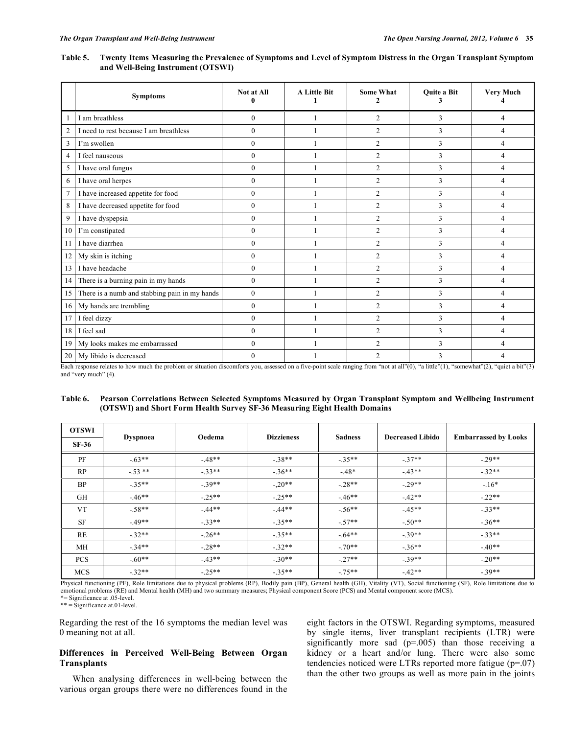| <b>Table 5.</b> | Twenty Items Measuring the Prevalence of Symptoms and Level of Symptom Distress in the Organ Transplant Symptom |
|-----------------|-----------------------------------------------------------------------------------------------------------------|
|                 | and Well-Being Instrument (OTSWI)                                                                               |

|                | <b>Symptoms</b>                               | Not at All   | <b>A Little Bit</b> | <b>Some What</b><br><b>,</b> | <b>Ouite a Bit</b> | <b>Very Much</b>         |
|----------------|-----------------------------------------------|--------------|---------------------|------------------------------|--------------------|--------------------------|
|                | I am breathless                               | $\mathbf{0}$ |                     | $\overline{c}$               | 3                  | 4                        |
| $\overline{c}$ | I need to rest because I am breathless        | $\mathbf{0}$ |                     | $\overline{2}$               | 3                  | $\Lambda$                |
| 3              | I'm swollen                                   | $\theta$     |                     | $\overline{2}$               | 3                  | 4                        |
| $\overline{4}$ | I feel nauseous                               | $\mathbf{0}$ |                     | $\overline{2}$               | 3                  | 4                        |
| 5              | I have oral fungus                            | $\mathbf{0}$ |                     | $\overline{2}$               | 3                  | 4                        |
| 6              | I have oral herpes                            | $\mathbf{0}$ |                     | $\overline{2}$               | 3                  | Δ                        |
| $\overline{7}$ | I have increased appetite for food            | $\mathbf{0}$ |                     | $\overline{2}$               | 3                  | 4                        |
| 8              | I have decreased appetite for food            | $\mathbf{0}$ |                     | $\overline{2}$               | 3                  | 4                        |
| 9              | I have dyspepsia                              | $\mathbf{0}$ |                     | $\overline{2}$               | 3                  | $\overline{\mathcal{L}}$ |
| 10             | I'm constipated                               | $\mathbf{0}$ |                     | $\overline{2}$               | 3                  | $\overline{4}$           |
| 11             | I have diarrhea                               | $\mathbf{0}$ |                     | $\overline{c}$               | 3                  | 4                        |
| 12             | My skin is itching                            | $\mathbf{0}$ |                     | $\overline{2}$               | 3                  | 4                        |
| 13             | I have headache                               | $\mathbf{0}$ |                     | $\overline{2}$               | 3                  | 4                        |
| 14             | There is a burning pain in my hands           | $\mathbf{0}$ |                     | $\overline{c}$               | 3                  | $\Delta$                 |
| 15             | There is a numb and stabbing pain in my hands | $\mathbf{0}$ |                     | $\overline{2}$               | 3                  | 4                        |
| 16             | My hands are trembling                        | $\mathbf{0}$ |                     | $\overline{2}$               | 3                  | 4                        |
| 17             | I feel dizzy                                  | $\theta$     |                     | $\overline{c}$               | 3                  | $\Delta$                 |
| 18             | I feel sad                                    | $\mathbf{0}$ |                     | $\overline{2}$               | 3                  | $\overline{\mathbf{4}}$  |
| 19             | My looks makes me embarrassed                 | $\mathbf{0}$ |                     | $\overline{c}$               | 3                  | $\overline{\mathbf{A}}$  |
| 20             | My libido is decreased                        | $\theta$     |                     | $\mathfrak{D}$               | $\mathcal{E}$      | 4                        |

Each response relates to how much the problem or situation discomforts you, assessed on a five-point scale ranging from "not at all"(0), "a little"(1), "somewhat"(2), "quiet a bit"(3) and "very much" (4).

#### **Table 6. Pearson Correlations Between Selected Symptoms Measured by Organ Transplant Symptom and Wellbeing Instrument (OTSWI) and Short Form Health Survey SF-36 Measuring Eight Health Domains**

| <b>OTSWI</b> |          | Oedema  | <b>Dizzieness</b> | <b>Sadness</b> | <b>Decreased Libido</b> |                             |  |
|--------------|----------|---------|-------------------|----------------|-------------------------|-----------------------------|--|
| $SF-36$      | Dyspnoea |         |                   |                |                         | <b>Embarrassed by Looks</b> |  |
| PF           | $-63**$  | $-48**$ | $-.38**$          | $-35**$        | $-37**$                 | $-29**$                     |  |
| RP           | $-.53**$ | $-33**$ | $-36**$           | $-48*$         | $-43**$                 | $-32**$                     |  |
| <b>BP</b>    | $-35**$  | $-39**$ | $-.20**$          | $-28**$        | $-29**$                 | $-16*$                      |  |
| <b>GH</b>    | $-46**$  | $-25**$ | $-25**$           | $-46**$        | $-42**$                 | $-22**$                     |  |
| <b>VT</b>    | $-58**$  | $-44**$ | $-44**$           | $-56**$        | $-45**$                 | $-33**$                     |  |
| <b>SF</b>    | $-49**$  | $-33**$ | $-35**$           | $-57**$        | $-.50**$                | $-36**$                     |  |
| RE           | $-32**$  | $-26**$ | $-35**$           | $-64**$        | $-39**$                 | $-33**$                     |  |
| MH           | $-34**$  | $-28**$ | $-32**$           | $-70**$        | $-36**$                 | $-40**$                     |  |
| <b>PCS</b>   | $-60**$  | $-43**$ | $-30**$           | $-27**$        | $-39**$                 | $-20**$                     |  |
| <b>MCS</b>   | $-32**$  | $-25**$ | $-35**$           | $-75**$        | $-42**$                 | $-39**$                     |  |

Physical functioning (PF), Role limitations due to physical problems (RP), Bodily pain (BP), General health (GH), Vitality (VT), Social functioning (SF), Role limitations due to emotional problems (RE) and Mental health (MH) and two summary measures; Physical component Score (PCS) and Mental component score (MCS). \*= Significance at .05-level.

 $** =$  Significance at 01-level.

Regarding the rest of the 16 symptoms the median level was 0 meaning not at all.

# **Differences in Perceived Well-Being Between Organ Transplants**

 When analysing differences in well-being between the various organ groups there were no differences found in the eight factors in the OTSWI. Regarding symptoms, measured by single items, liver transplant recipients (LTR) were significantly more sad (p=.005) than those receiving a kidney or a heart and/or lung. There were also some tendencies noticed were LTRs reported more fatigue (p=.07) than the other two groups as well as more pain in the joints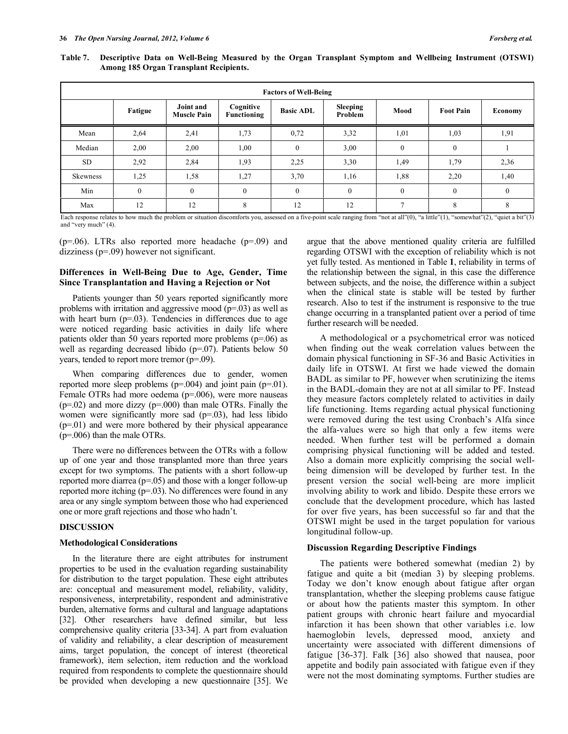| Table 7. Descriptive Data on Well-Being Measured by the Organ Transplant Symptom and Wellbeing Instrument (OTSWI) |  |  |
|-------------------------------------------------------------------------------------------------------------------|--|--|
| Among 185 Organ Transplant Recipients.                                                                            |  |  |

| <b>Factors of Well-Being</b> |          |                                 |                          |                  |                            |              |                  |                |  |  |
|------------------------------|----------|---------------------------------|--------------------------|------------------|----------------------------|--------------|------------------|----------------|--|--|
|                              | Fatigue  | Joint and<br><b>Muscle Pain</b> | Cognitive<br>Functioning | <b>Basic ADL</b> | <b>Sleeping</b><br>Problem | Mood         | <b>Foot Pain</b> | <b>Economy</b> |  |  |
| Mean                         | 2,64     | 2,41                            | 1,73                     | 0,72             | 3,32                       | 1,01         | 1,03             | 1,91           |  |  |
| Median                       | 2,00     | 2,00                            | 1,00                     | $\theta$         | 3,00                       | $\mathbf{0}$ | $\mathbf{0}$     |                |  |  |
| <b>SD</b>                    | 2,92     | 2,84                            | 1,93                     | 2,25             | 3,30                       | 1,49         | 1,79             | 2,36           |  |  |
| Skewness                     | 1,25     | 1.58                            | 1,27                     | 3,70             | 1,16                       | 1,88         | 2,20             | 1,40           |  |  |
| Min                          | $\theta$ | $\mathbf{0}$                    | $\theta$                 | $\theta$         | $\theta$                   | $\mathbf{0}$ | $\mathbf{0}$     | $\theta$       |  |  |
| Max                          | 12       | 12                              | 8                        | 12               | 12                         | 7            | 8                | 8              |  |  |

Each response relates to how much the problem or situation discomforts you, assessed on a five-point scale ranging from "not at all"(0), "a little"(1), "somewhat"(2), "quiet a bit"(3) and "very much" (4).

( $p=0.06$ ). LTRs also reported more headache ( $p=0.09$ ) and dizziness (p=.09) however not significant.

#### **Differences in Well-Being Due to Age, Gender, Time Since Transplantation and Having a Rejection or Not**

 Patients younger than 50 years reported significantly more problems with irritation and aggressive mood  $(p=0.03)$  as well as with heart burn  $(p=0.03)$ . Tendencies in differences due to age were noticed regarding basic activities in daily life where patients older than 50 years reported more problems (p=.06) as well as regarding decreased libido (p=.07). Patients below 50 years, tended to report more tremor (p=.09).

 When comparing differences due to gender, women reported more sleep problems  $(p=0.004)$  and joint pain  $(p=0.01)$ . Female OTRs had more oedema (p=.006), were more nauseas  $(p=0.02)$  and more dizzy  $(p=0.000)$  than male OTRs. Finally the women were significantly more sad (p=.03), had less libido  $(p=01)$  and were more bothered by their physical appearance (p=.006) than the male OTRs.

 There were no differences between the OTRs with a follow up of one year and those transplanted more than three years except for two symptoms. The patients with a short follow-up reported more diarrea (p=.05) and those with a longer follow-up reported more itching (p=.03). No differences were found in any area or any single symptom between those who had experienced one or more graft rejections and those who hadn't.

#### **DISCUSSION**

#### **Methodological Considerations**

 In the literature there are eight attributes for instrument properties to be used in the evaluation regarding sustainability for distribution to the target population. These eight attributes are: conceptual and measurement model, reliability, validity, responsiveness, interpretability, respondent and administrative burden, alternative forms and cultural and language adaptations [32]. Other researchers have defined similar, but less comprehensive quality criteria [33-34]. A part from evaluation of validity and reliability, a clear description of measurement aims, target population, the concept of interest (theoretical framework), item selection, item reduction and the workload required from respondents to complete the questionnaire should be provided when developing a new questionnaire [35]. We

argue that the above mentioned quality criteria are fulfilled regarding OTSWI with the exception of reliability which is not yet fully tested. As mentioned in Table **1**, reliability in terms of the relationship between the signal, in this case the difference between subjects, and the noise, the difference within a subject when the clinical state is stable will be tested by further research. Also to test if the instrument is responsive to the true change occurring in a transplanted patient over a period of time further research will be needed.

 A methodological or a psychometrical error was noticed when finding out the weak correlation values between the domain physical functioning in SF-36 and Basic Activities in daily life in OTSWI. At first we hade viewed the domain BADL as similar to PF, however when scrutinizing the items in the BADL-domain they are not at all similar to PF. Instead they measure factors completely related to activities in daily life functioning. Items regarding actual physical functioning were removed during the test using Cronbach's Alfa since the alfa-values were so high that only a few items were needed. When further test will be performed a domain comprising physical functioning will be added and tested. Also a domain more explicitly comprising the social wellbeing dimension will be developed by further test. In the present version the social well-being are more implicit involving ability to work and libido. Despite these errors we conclude that the development procedure, which has lasted for over five years, has been successful so far and that the OTSWI might be used in the target population for various longitudinal follow-up.

#### **Discussion Regarding Descriptive Findings**

 The patients were bothered somewhat (median 2) by fatigue and quite a bit (median 3) by sleeping problems. Today we don't know enough about fatigue after organ transplantation, whether the sleeping problems cause fatigue or about how the patients master this symptom. In other patient groups with chronic heart failure and myocardial infarction it has been shown that other variables i.e. low haemoglobin levels, depressed mood, anxiety and uncertainty were associated with different dimensions of fatigue [36-37]. Falk [36] also showed that nausea, poor appetite and bodily pain associated with fatigue even if they were not the most dominating symptoms. Further studies are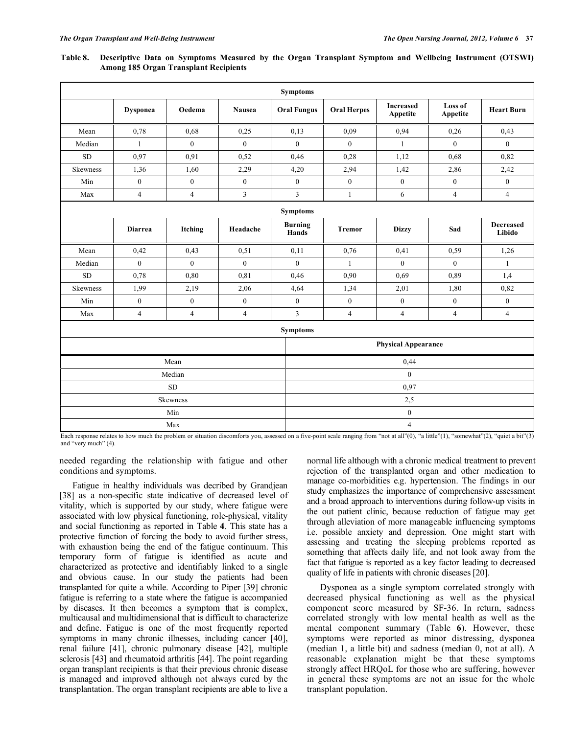# **Table 8. Descriptive Data on Symptoms Measured by the Organ Transplant Symptom and Wellbeing Instrument (OTSWI) Among 185 Organ Transplant Recipients**

|                 | <b>Symptoms</b>  |                |                  |                         |                    |                              |                     |                            |  |  |
|-----------------|------------------|----------------|------------------|-------------------------|--------------------|------------------------------|---------------------|----------------------------|--|--|
|                 | <b>Dysponea</b>  | Oedema         | <b>Nausea</b>    | <b>Oral Fungus</b>      | <b>Oral Herpes</b> | <b>Increased</b><br>Appetite | Loss of<br>Appetite | <b>Heart Burn</b>          |  |  |
| Mean            | 0,78             | 0,68           | 0,25             | 0,13                    | 0.09               | 0,94                         | 0.26                | 0,43                       |  |  |
| Median          | $\mathbf{1}$     | $\overline{0}$ | $\overline{0}$   | $\mathbf{0}$            | $\theta$           | $\mathbf{1}$                 | $\overline{0}$      | $\mathbf{0}$               |  |  |
| <b>SD</b>       | 0.97             | 0.91           | 0,52             | 0,46                    | 0.28               | 1,12                         | 0.68                | 0.82                       |  |  |
| <b>Skewness</b> | 1,36             | 1,60           | 2,29             | 4,20                    | 2,94               | 1,42                         | 2,86                | 2,42                       |  |  |
| Min             | $\mathbf{0}$     | $\mathbf{0}$   | $\mathbf{0}$     | $\theta$                | $\mathbf{0}$       | $\boldsymbol{0}$             | $\boldsymbol{0}$    | $\boldsymbol{0}$           |  |  |
| Max             | $\overline{4}$   | $\overline{4}$ | 3                | 3                       | $\mathbf{1}$       | 6                            | $\overline{4}$      | $\overline{4}$             |  |  |
|                 |                  |                |                  | <b>Symptoms</b>         |                    |                              |                     |                            |  |  |
|                 | <b>Diarrea</b>   | Itching        | Headache         | <b>Burning</b><br>Hands | <b>Tremor</b>      | <b>Dizzy</b>                 | Sad                 | <b>Decreased</b><br>Libido |  |  |
| Mean            | 0,42             | 0,43           | 0,51             | 0,11                    | 0,76               | 0,41                         | 0,59                | 1,26                       |  |  |
| Median          | $\theta$         | $\Omega$       | $\overline{0}$   | $\mathbf{0}$            | $\mathbf{1}$       | $\mathbf{0}$                 | $\mathbf{0}$        | $\mathbf{1}$               |  |  |
| ${\rm SD}$      | 0,78             | 0,80           | 0,81             | 0,46                    | 0,90               | 0,69                         | 0,89                | 1,4                        |  |  |
| <b>Skewness</b> | 1,99             | 2,19           | 2,06             | 4,64                    | 1,34               | 2,01                         | 1,80                | 0,82                       |  |  |
| Min             | $\boldsymbol{0}$ | $\mathbf{0}$   | $\boldsymbol{0}$ | $\boldsymbol{0}$        | $\boldsymbol{0}$   | $\boldsymbol{0}$             | $\boldsymbol{0}$    | $\boldsymbol{0}$           |  |  |
| Max             | 4                | $\overline{4}$ | $\overline{4}$   | $\overline{3}$          | $\overline{4}$     | $\overline{4}$               | $\overline{4}$      | $\overline{4}$             |  |  |
|                 |                  |                |                  | <b>Symptoms</b>         |                    |                              |                     |                            |  |  |
|                 |                  |                |                  |                         |                    | <b>Physical Appearance</b>   |                     |                            |  |  |
|                 |                  | Mean           |                  |                         |                    | 0,44                         |                     |                            |  |  |
|                 |                  | Median         |                  |                         | $\theta$           |                              |                     |                            |  |  |
|                 |                  | <b>SD</b>      |                  |                         | 0.97               |                              |                     |                            |  |  |
|                 |                  | Skewness       |                  |                         | 2,5                |                              |                     |                            |  |  |
|                 |                  | Min            |                  |                         |                    | $\mathbf{0}$                 |                     |                            |  |  |
|                 |                  | Max            |                  |                         | $\overline{4}$     |                              |                     |                            |  |  |

Each response relates to how much the problem or situation discomforts you, assessed on a five-point scale ranging from "not at all"(0), "a little"(1), "somewhat"(2), "quiet a bit"(3) and "very much" (4).

needed regarding the relationship with fatigue and other conditions and symptoms.

 Fatigue in healthy individuals was decribed by Grandjean [38] as a non-specific state indicative of decreased level of vitality, which is supported by our study, where fatigue were associated with low physical functioning, role-physical, vitality and social functioning as reported in Table **4**. This state has a protective function of forcing the body to avoid further stress, with exhaustion being the end of the fatigue continuum. This temporary form of fatigue is identified as acute and characterized as protective and identifiably linked to a single and obvious cause. In our study the patients had been transplanted for quite a while. According to Piper [39] chronic fatigue is referring to a state where the fatigue is accompanied by diseases. It then becomes a symptom that is complex, multicausal and multidimensional that is difficult to characterize and define. Fatigue is one of the most frequently reported symptoms in many chronic illnesses, including cancer [40], renal failure [41], chronic pulmonary disease [42], multiple sclerosis [43] and rheumatoid arthritis [44]. The point regarding organ transplant recipients is that their previous chronic disease is managed and improved although not always cured by the transplantation. The organ transplant recipients are able to live a

normal life although with a chronic medical treatment to prevent rejection of the transplanted organ and other medication to manage co-morbidities e.g. hypertension. The findings in our study emphasizes the importance of comprehensive assessment and a broad approach to interventions during follow-up visits in the out patient clinic, because reduction of fatigue may get through alleviation of more manageable influencing symptoms i.e. possible anxiety and depression. One might start with assessing and treating the sleeping problems reported as something that affects daily life, and not look away from the fact that fatigue is reported as a key factor leading to decreased quality of life in patients with chronic diseases [20].

 Dysponea as a single symptom correlated strongly with decreased physical functioning as well as the physical component score measured by SF-36. In return, sadness correlated strongly with low mental health as well as the mental component summary (Table **6**). However, these symptoms were reported as minor distressing, dysponea (median 1, a little bit) and sadness (median 0, not at all). A reasonable explanation might be that these symptoms strongly affect HRQoL for those who are suffering, however in general these symptoms are not an issue for the whole transplant population.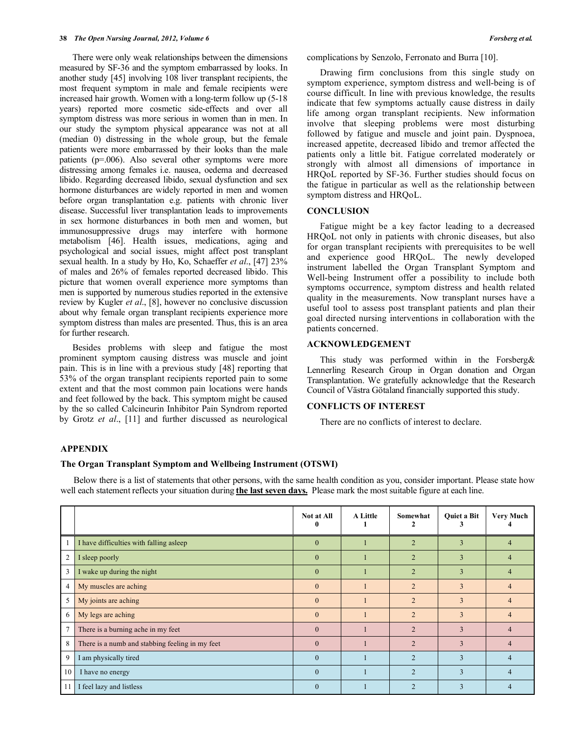There were only weak relationships between the dimensions measured by SF-36 and the symptom embarrassed by looks. In another study [45] involving 108 liver transplant recipients, the most frequent symptom in male and female recipients were increased hair growth. Women with a long-term follow up (5-18 years) reported more cosmetic side-effects and over all symptom distress was more serious in women than in men. In our study the symptom physical appearance was not at all (median 0) distressing in the whole group, but the female patients were more embarrassed by their looks than the male patients (p=.006). Also several other symptoms were more distressing among females i.e. nausea, oedema and decreased libido. Regarding decreased libido, sexual dysfunction and sex hormone disturbances are widely reported in men and women before organ transplantation e.g. patients with chronic liver disease. Successful liver transplantation leads to improvements in sex hormone disturbances in both men and women, but immunosuppressive drugs may interfere with hormone metabolism [46]. Health issues, medications, aging and psychological and social issues, might affect post transplant sexual health. In a study by Ho, Ko, Schaeffer *et al*., [47] 23% of males and 26% of females reported decreased libido. This picture that women overall experience more symptoms than men is supported by numerous studies reported in the extensive review by Kugler *et al*., [8], however no conclusive discussion about why female organ transplant recipients experience more symptom distress than males are presented. Thus, this is an area for further research.

 Besides problems with sleep and fatigue the most prominent symptom causing distress was muscle and joint pain. This is in line with a previous study [48] reporting that 53% of the organ transplant recipients reported pain to some extent and that the most common pain locations were hands and feet followed by the back. This symptom might be caused by the so called Calcineurin Inhibitor Pain Syndrom reported by Grotz *et al*., [11] and further discussed as neurological

complications by Senzolo, Ferronato and Burra [10].

 Drawing firm conclusions from this single study on symptom experience, symptom distress and well-being is of course difficult. In line with previous knowledge, the results indicate that few symptoms actually cause distress in daily life among organ transplant recipients. New information involve that sleeping problems were most disturbing followed by fatigue and muscle and joint pain. Dyspnoea, increased appetite, decreased libido and tremor affected the patients only a little bit. Fatigue correlated moderately or strongly with almost all dimensions of importance in HRQoL reported by SF-36. Further studies should focus on the fatigue in particular as well as the relationship between symptom distress and HRQoL.

#### **CONCLUSION**

 Fatigue might be a key factor leading to a decreased HRQoL not only in patients with chronic diseases, but also for organ transplant recipients with prerequisites to be well and experience good HRQoL. The newly developed instrument labelled the Organ Transplant Symptom and Well-being Instrument offer a possibility to include both symptoms occurrence, symptom distress and health related quality in the measurements. Now transplant nurses have a useful tool to assess post transplant patients and plan their goal directed nursing interventions in collaboration with the patients concerned.

#### **ACKNOWLEDGEMENT**

 This study was performed within in the Forsberg& Lennerling Research Group in Organ donation and Organ Transplantation. We gratefully acknowledge that the Research Council of Västra Götaland financially supported this study.

#### **CONFLICTS OF INTEREST**

There are no conflicts of interest to declare.

# **APPENDIX**

#### **The Organ Transplant Symptom and Wellbeing Instrument (OTSWI)**

 Below there is a list of statements that other persons, with the same health condition as you, consider important. Please state how well each statement reflects your situation during **the last seven days.** Please mark the most suitable figure at each line.

|                |                                                 | Not at All<br>$\bf{0}$ | A Little<br>п | Somewhat<br>2  | Quiet a Bit<br>Ĵ         | <b>Very Much</b> |
|----------------|-------------------------------------------------|------------------------|---------------|----------------|--------------------------|------------------|
| -1             | I have difficulties with falling asleep         | $\mathbf{0}$           |               | $\overline{2}$ | $\overline{\mathcal{E}}$ | 4                |
| $\overline{2}$ | I sleep poorly                                  | $\mathbf{0}$           |               | $\overline{2}$ | 3                        | 4                |
| 3              | I wake up during the night                      | $\mathbf{0}$           |               | $\overline{2}$ | $\overline{3}$           | 4                |
| 4              | My muscles are aching                           | $\mathbf{0}$           |               | $\overline{2}$ | 3                        | 4                |
| 5              | My joints are aching                            | $\mathbf{0}$           |               | $\overline{2}$ | 3                        | 4                |
| 6              | My legs are aching                              | $\mathbf{0}$           |               | $\overline{2}$ | 3                        | 4                |
| $\overline{7}$ | There is a burning ache in my feet              | $\mathbf{0}$           |               | $\overline{2}$ | $\mathcal{E}$            | 4                |
| 8              | There is a numb and stabbing feeling in my feet | $\mathbf{0}$           |               | $\overline{2}$ | 3                        | 4                |
| 9              | I am physically tired                           | $\mathbf{0}$           |               | $\overline{2}$ | 3                        | 4                |
| 10             | I have no energy                                | $\Omega$               |               | 2              | 3                        | 4                |
| -11            | I feel lazy and listless                        | $\Omega$               |               | $\mathfrak{D}$ | 3                        |                  |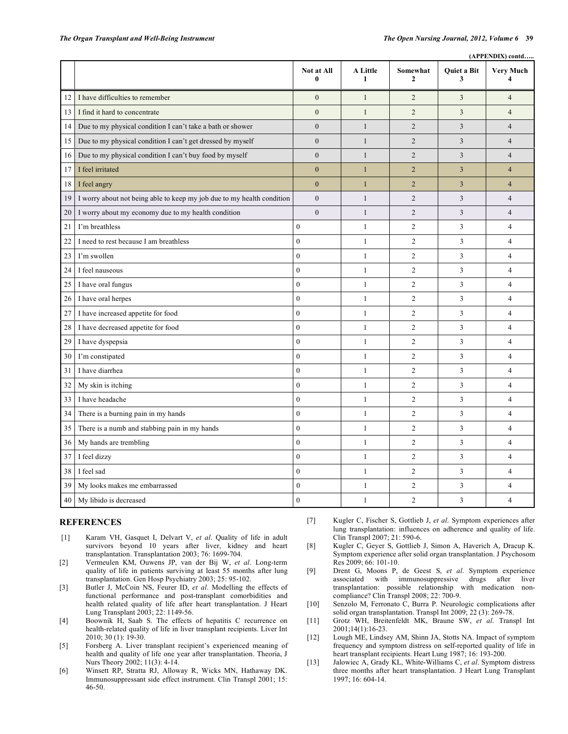|    | (APPENDIX) contd                                                       |                  |                          |                            |                         |                       |  |  |
|----|------------------------------------------------------------------------|------------------|--------------------------|----------------------------|-------------------------|-----------------------|--|--|
|    |                                                                        | Not at All<br>0  | A Little<br>$\mathbf{1}$ | Somewhat<br>$\overline{2}$ | <b>Ouiet a Bit</b><br>3 | <b>Very Much</b><br>4 |  |  |
| 12 | I have difficulties to remember                                        | $\mathbf{0}$     | $\mathbf{1}$             | $\overline{2}$             | 3                       | $\overline{4}$        |  |  |
| 13 | I find it hard to concentrate                                          | $\boldsymbol{0}$ | $\mathbf{1}$             | $\overline{c}$             | 3                       | $\overline{4}$        |  |  |
| 14 | Due to my physical condition I can't take a bath or shower             | $\boldsymbol{0}$ | $\mathbf{1}$             | $\overline{2}$             | 3                       | $\overline{4}$        |  |  |
| 15 | Due to my physical condition I can't get dressed by myself             | $\overline{0}$   | $\mathbf{1}$             | $\overline{2}$             | $\overline{3}$          | $\overline{4}$        |  |  |
| 16 | Due to my physical condition I can't buy food by myself                | $\boldsymbol{0}$ | $\mathbf{1}$             | $\overline{2}$             | $\overline{\mathbf{3}}$ | $\overline{4}$        |  |  |
| 17 | I feel irritated                                                       | $\boldsymbol{0}$ | $\mathbf{1}$             | $\overline{2}$             | $\overline{3}$          | $\overline{4}$        |  |  |
| 18 | I feel angry                                                           | $\overline{0}$   | $\mathbf{1}$             | $\overline{2}$             | $\overline{3}$          | $\overline{4}$        |  |  |
| 19 | I worry about not being able to keep my job due to my health condition | $\boldsymbol{0}$ | $\mathbf{1}$             | $\overline{2}$             | $\overline{\mathbf{3}}$ | $\overline{4}$        |  |  |
| 20 | I worry about my economy due to my health condition                    | $\boldsymbol{0}$ | $\mathbf{1}$             | $\overline{2}$             | 3                       | $\overline{4}$        |  |  |
| 21 | I'm breathless                                                         | $\mathbf{0}$     | $\mathbf{1}$             | $\overline{2}$             | 3                       | $\overline{4}$        |  |  |
| 22 | I need to rest because I am breathless                                 | $\mathbf{0}$     | $\mathbf{1}$             | $\overline{2}$             | 3                       | $\overline{4}$        |  |  |
| 23 | I'm swollen                                                            | $\boldsymbol{0}$ | $\mathbf{1}$             | $\overline{c}$             | 3                       | $\overline{4}$        |  |  |
| 24 | I feel nauseous                                                        | $\boldsymbol{0}$ | $\mathbf{1}$             | 2                          | 3                       | $\overline{4}$        |  |  |
| 25 | I have oral fungus                                                     | $\mathbf{0}$     | $\mathbf{1}$             | $\overline{c}$             | 3                       | $\overline{4}$        |  |  |
| 26 | I have oral herpes                                                     | $\overline{0}$   | $\mathbf{1}$             | $\overline{2}$             | 3                       | $\overline{4}$        |  |  |
| 27 | I have increased appetite for food                                     | $\mathbf{0}$     | $\mathbf{1}$             | $\overline{c}$             | 3                       | $\overline{4}$        |  |  |
| 28 | I have decreased appetite for food                                     | $\mathbf{0}$     | $\mathbf{1}$             | $\overline{c}$             | 3                       | $\overline{4}$        |  |  |
| 29 | I have dyspepsia                                                       | $\mathbf{0}$     | $\mathbf{1}$             | $\overline{c}$             | 3                       | $\overline{4}$        |  |  |
| 30 | I'm constipated                                                        | $\overline{0}$   | $\mathbf{1}$             | $\overline{2}$             | $\overline{\mathbf{3}}$ | $\overline{4}$        |  |  |
| 31 | I have diarrhea                                                        | $\boldsymbol{0}$ | $\mathbf{1}$             | $\overline{c}$             | 3                       | $\overline{4}$        |  |  |
| 32 | My skin is itching                                                     | $\mathbf{0}$     | $\mathbf{1}$             | $\overline{2}$             | 3                       | $\overline{4}$        |  |  |
| 33 | I have headache                                                        | $\overline{0}$   | $\mathbf{1}$             | $\overline{2}$             | 3                       | $\overline{4}$        |  |  |
| 34 | There is a burning pain in my hands                                    | $\boldsymbol{0}$ | $\mathbf{1}$             | $\overline{2}$             | 3                       | $\overline{4}$        |  |  |
| 35 | There is a numb and stabbing pain in my hands                          | $\overline{0}$   | $\mathbf{1}$             | $\overline{c}$             | 3                       | $\overline{4}$        |  |  |
| 36 | My hands are trembling                                                 | $\overline{0}$   | $\mathbf{1}$             | $\overline{c}$             | 3                       | $\overline{4}$        |  |  |
| 37 | I feel dizzy                                                           | $\boldsymbol{0}$ | $\mathbf{1}$             | $\overline{2}$             | 3                       | $\overline{4}$        |  |  |
| 38 | I feel sad                                                             | $\overline{0}$   | $\mathbf{1}$             | $\overline{2}$             | 3                       | $\overline{4}$        |  |  |
| 39 | My looks makes me embarrassed                                          | $\boldsymbol{0}$ | $\mathbf{1}$             | $\overline{c}$             | 3                       | $\overline{4}$        |  |  |
| 40 | My libido is decreased                                                 | $\mathbf{0}$     | $\mathbf{1}$             | $\overline{2}$             | 3                       | 4                     |  |  |

## **REFERENCES**

- [1] Karam VH, Gasquet I, Delvart V, *et al*. Quality of life in adult survivors beyond 10 years after liver, kidney and heart transplantation. Transplantation 2003; 76: 1699-704.
- [2] Vermeulen KM, Ouwens JP, van der Bij W, *et al*. Long-term quality of life in patients surviving at least 55 months after lung transplantation. Gen Hosp Psychiatry 2003; 25: 95-102.
- [3] Butler J, McCoin NS, Feurer ID, *et al*. Modelling the effects of functional performance and post-transplant comorbidities and health related quality of life after heart transplantation. J Heart Lung Transplant 2003; 22: 1149-56.
- [4] Boownik H, Saab S. The effects of hepatitis C recurrence on health-related quality of life in liver transplant recipients. Liver Int 2010; 30 (1): 19-30.
- [5] Forsberg A. Liver transplant recipient's experienced meaning of health and quality of life one year after transplantation. Theoria, J Nurs Theory 2002; 11(3): 4-14.
- [6] Winsett RP, Stratta RJ, Alloway R, Wicks MN, Hathaway DK. Immunosuppressant side effect instrument. Clin Transpl 2001; 15: 46-50.
- [7] Kugler C, Fischer S, Gottlieb J, *et al*. Symptom experiences after lung transplantation: influences on adherence and quality of life. Clin Transpl 2007; 21: 590-6.
- [8] Kugler C, Geyer S, Gottlieb J, Simon A, Haverich A, Dracup K. Symptom experience after solid organ transplantation. J Psychosom Res 2009; 66: 101-10.
- [9] Drent G, Moons P, de Geest S, *et al*. Symptom experience associated with immunosuppressive drugs after liver transplantation: possible relationship with medication noncompliance? Clin Transpl 2008; 22: 700-9.
- [10] Senzolo M, Ferronato C, Burra P. Neurologic complications after solid organ transplantation. Transpl Int 2009; 22 (3): 269-78.
- [11] Grotz WH, Breitenfeldt MK, Braune SW, *et al*. Transpl Int 2001;14(1):16-23.
- [12] Lough ME, Lindsey AM, Shinn JA, Stotts NA. Impact of symptom frequency and symptom distress on self-reported quality of life in heart transplant recipients. Heart Lung 1987; 16: 193-200.
- [13] Jalowiec A, Grady KL, White-Williams C, *et al*. Symptom distress three months after heart transplantation. J Heart Lung Transplant 1997; 16: 604-14.